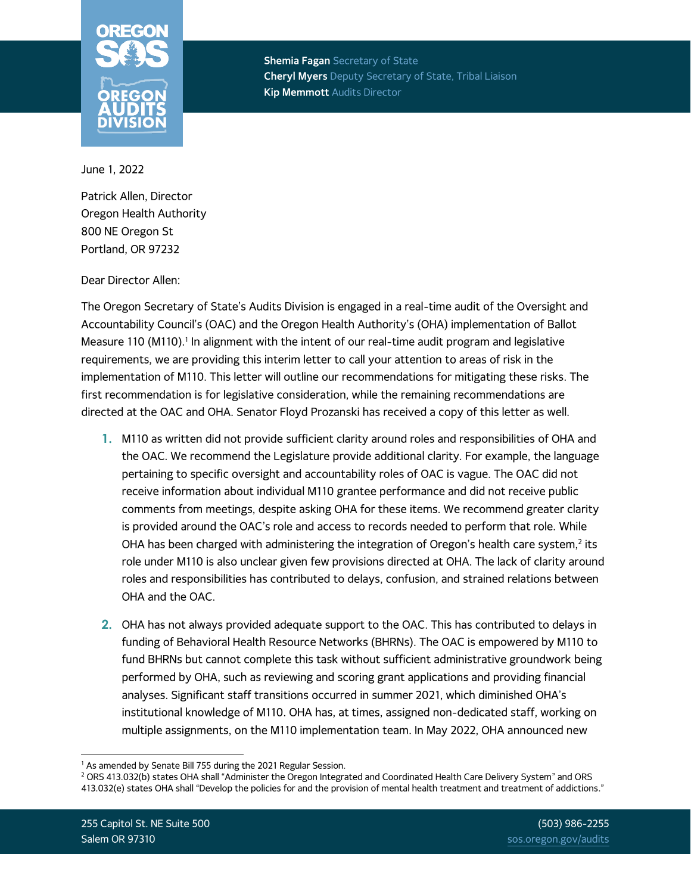

**Shemia Fagan** Secretary of State **Cheryl Myers** Deputy Secretary of State, Tribal Liaison **Kip Memmott** Audits Director

June 1, 2022

Patrick Allen, Director Oregon Health Authority 800 NE Oregon St Portland, OR 97232

## Dear Director Allen:

The Oregon Secretary of State's Audits Division is engaged in a real-time audit of the Oversight and Accountability Council's (OAC) and the Oregon Health Authority's (OHA) implementation of Ballot Measure 110 (M110). $^{\text{1}}$  In alignment with the intent of our real-time audit program and legislative requirements, we are providing this interim letter to call your attention to areas of risk in the implementation of M110. This letter will outline our recommendations for mitigating these risks. The first recommendation is for legislative consideration, while the remaining recommendations are directed at the OAC and OHA. Senator Floyd Prozanski has received a copy of this letter as well.

- **1.** M110 as written did not provide sufficient clarity around roles and responsibilities of OHA and the OAC. We recommend the Legislature provide additional clarity. For example, the language pertaining to specific oversight and accountability roles of OAC is vague. The OAC did not receive information about individual M110 grantee performance and did not receive public comments from meetings, despite asking OHA for these items. We recommend greater clarity is provided around the OAC's role and access to records needed to perform that role. While OHA has been charged with administering the integration of Oregon's health care system, $^{\text{2}}$  its role under M110 is also unclear given few provisions directed at OHA. The lack of clarity around roles and responsibilities has contributed to delays, confusion, and strained relations between OHA and the OAC.
- **2.** OHA has not always provided adequate support to the OAC. This has contributed to delays in funding of Behavioral Health Resource Networks (BHRNs). The OAC is empowered by M110 to fund BHRNs but cannot complete this task without sufficient administrative groundwork being performed by OHA, such as reviewing and scoring grant applications and providing financial analyses. Significant staff transitions occurred in summer 2021, which diminished OHA's institutional knowledge of M110. OHA has, at times, assigned non-dedicated staff, working on multiple assignments, on the M110 implementation team. In May 2022, OHA announced new

<sup>&</sup>lt;sup>1</sup> As amended by Senate Bill 755 during the 2021 Regular Session.

<sup>2</sup> ORS 413.032(b) states OHA shall "Administer the Oregon Integrated and Coordinated Health Care Delivery System" and ORS 413.032(e) states OHA shall "Develop the policies for and the provision of mental health treatment and treatment of addictions."